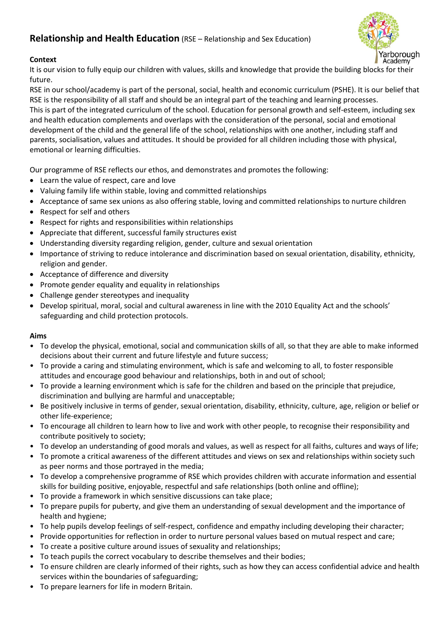# **Relationship and Health Education** (RSE – Relationship and Sex Education)



# **Context**

It is our vision to fully equip our children with values, skills and knowledge that provide the building blocks for their future.

RSE in our school/academy is part of the personal, social, health and economic curriculum (PSHE). It is our belief that RSE is the responsibility of all staff and should be an integral part of the teaching and learning processes.

This is part of the integrated curriculum of the school. Education for personal growth and self-esteem, including sex and health education complements and overlaps with the consideration of the personal, social and emotional development of the child and the general life of the school, relationships with one another, including staff and parents, socialisation, values and attitudes. It should be provided for all children including those with physical, emotional or learning difficulties.

Our programme of RSE reflects our ethos, and demonstrates and promotes the following:

- Learn the value of respect, care and love
- Valuing family life within stable, loving and committed relationships
- Acceptance of same sex unions as also offering stable, loving and committed relationships to nurture children
- Respect for self and others
- Respect for rights and responsibilities within relationships
- Appreciate that different, successful family structures exist
- Understanding diversity regarding religion, gender, culture and sexual orientation
- Importance of striving to reduce intolerance and discrimination based on sexual orientation, disability, ethnicity, religion and gender.
- Acceptance of difference and diversity
- Promote gender equality and equality in relationships
- Challenge gender stereotypes and inequality
- Develop spiritual, moral, social and cultural awareness in line with the 2010 Equality Act and the schools' safeguarding and child protection protocols.

# **Aims**

- To develop the physical, emotional, social and communication skills of all, so that they are able to make informed decisions about their current and future lifestyle and future success;
- To provide a caring and stimulating environment, which is safe and welcoming to all, to foster responsible attitudes and encourage good behaviour and relationships, both in and out of school;
- To provide a learning environment which is safe for the children and based on the principle that prejudice, discrimination and bullying are harmful and unacceptable;
- Be positively inclusive in terms of gender, sexual orientation, disability, ethnicity, culture, age, religion or belief or other life-experience;
- To encourage all children to learn how to live and work with other people, to recognise their responsibility and contribute positively to society;
- To develop an understanding of good morals and values, as well as respect for all faiths, cultures and ways of life;
- To promote a critical awareness of the different attitudes and views on sex and relationships within society such as peer norms and those portrayed in the media;
- To develop a comprehensive programme of RSE which provides children with accurate information and essential skills for building positive, enjoyable, respectful and safe relationships (both online and offline);
- To provide a framework in which sensitive discussions can take place;
- To prepare pupils for puberty, and give them an understanding of sexual development and the importance of health and hygiene;
- To help pupils develop feelings of self-respect, confidence and empathy including developing their character;
- Provide opportunities for reflection in order to nurture personal values based on mutual respect and care;
- To create a positive culture around issues of sexuality and relationships;
- To teach pupils the correct vocabulary to describe themselves and their bodies;
- To ensure children are clearly informed of their rights, such as how they can access confidential advice and health services within the boundaries of safeguarding;
- To prepare learners for life in modern Britain.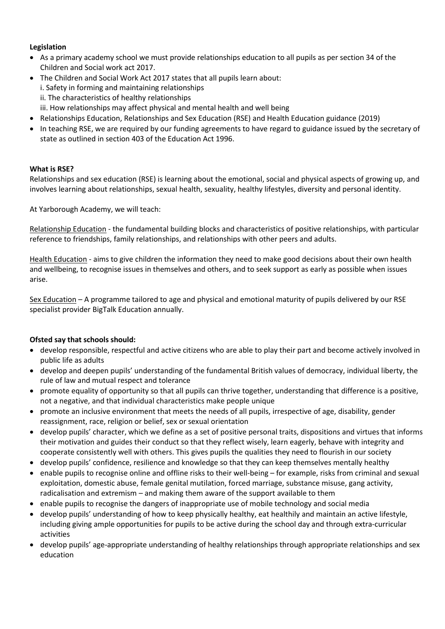### **Legislation**

- As a primary academy school we must provide relationships education to all pupils as per section 34 of the Children and Social work act 2017.
- The Children and Social Work Act 2017 states that all pupils learn about: i. Safety in forming and maintaining relationships ii. The characteristics of healthy relationships iii. How relationships may affect physical and mental health and well being
- Relationships Education, Relationships and Sex Education (RSE) and Health Education guidance (2019)
- In teaching RSE, we are required by our funding agreements to have regard to guidance issued by the secretary of state as outlined in section 403 of the Education Act 1996.

#### **What is RSE?**

Relationships and sex education (RSE) is learning about the emotional, social and physical aspects of growing up, and involves learning about relationships, sexual health, sexuality, healthy lifestyles, diversity and personal identity.

At Yarborough Academy, we will teach:

Relationship Education - the fundamental building blocks and characteristics of positive relationships, with particular reference to friendships, family relationships, and relationships with other peers and adults.

Health Education - aims to give children the information they need to make good decisions about their own health and wellbeing, to recognise issues in themselves and others, and to seek support as early as possible when issues arise.

Sex Education – A programme tailored to age and physical and emotional maturity of pupils delivered by our RSE specialist provider BigTalk Education annually.

### **Ofsted say that schools should:**

- develop responsible, respectful and active citizens who are able to play their part and become actively involved in public life as adults
- develop and deepen pupils' understanding of the fundamental British values of democracy, individual liberty, the rule of law and mutual respect and tolerance
- promote equality of opportunity so that all pupils can thrive together, understanding that difference is a positive, not a negative, and that individual characteristics make people unique
- promote an inclusive environment that meets the needs of all pupils, irrespective of age, disability, gender reassignment, race, religion or belief, sex or sexual orientation
- develop pupils' character, which we define as a set of positive personal traits, dispositions and virtues that informs their motivation and guides their conduct so that they reflect wisely, learn eagerly, behave with integrity and cooperate consistently well with others. This gives pupils the qualities they need to flourish in our society
- develop pupils' confidence, resilience and knowledge so that they can keep themselves mentally healthy
- enable pupils to recognise online and offline risks to their well-being for example, risks from criminal and sexual exploitation, domestic abuse, female genital mutilation, forced marriage, substance misuse, gang activity, radicalisation and extremism – and making them aware of the support available to them
- enable pupils to recognise the dangers of inappropriate use of mobile technology and social media
- develop pupils' understanding of how to keep physically healthy, eat healthily and maintain an active lifestyle, including giving ample opportunities for pupils to be active during the school day and through extra-curricular activities
- develop pupils' age-appropriate understanding of healthy relationships through appropriate relationships and sex education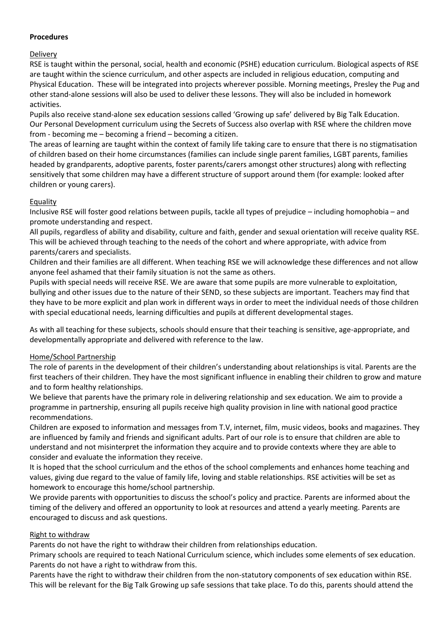#### **Procedures**

### Delivery

RSE is taught within the personal, social, health and economic (PSHE) education curriculum. Biological aspects of RSE are taught within the science curriculum, and other aspects are included in religious education, computing and Physical Education. These will be integrated into projects wherever possible. Morning meetings, Presley the Pug and other stand-alone sessions will also be used to deliver these lessons. They will also be included in homework activities.

Pupils also receive stand-alone sex education sessions called 'Growing up safe' delivered by Big Talk Education. Our Personal Development curriculum using the Secrets of Success also overlap with RSE where the children move from - becoming me – becoming a friend – becoming a citizen.

The areas of learning are taught within the context of family life taking care to ensure that there is no stigmatisation of children based on their home circumstances (families can include single parent families, LGBT parents, families headed by grandparents, adoptive parents, foster parents/carers amongst other structures) along with reflecting sensitively that some children may have a different structure of support around them (for example: looked after children or young carers).

# Equality

Inclusive RSE will foster good relations between pupils, tackle all types of prejudice – including homophobia – and promote understanding and respect.

All pupils, regardless of ability and disability, culture and faith, gender and sexual orientation will receive quality RSE. This will be achieved through teaching to the needs of the cohort and where appropriate, with advice from parents/carers and specialists.

Children and their families are all different. When teaching RSE we will acknowledge these differences and not allow anyone feel ashamed that their family situation is not the same as others.

Pupils with special needs will receive RSE. We are aware that some pupils are more vulnerable to exploitation, bullying and other issues due to the nature of their SEND, so these subjects are important. Teachers may find that they have to be more explicit and plan work in different ways in order to meet the individual needs of those children with special educational needs, learning difficulties and pupils at different developmental stages.

As with all teaching for these subjects, schools should ensure that their teaching is sensitive, age-appropriate, and developmentally appropriate and delivered with reference to the law.

# Home/School Partnership

The role of parents in the development of their children's understanding about relationships is vital. Parents are the first teachers of their children. They have the most significant influence in enabling their children to grow and mature and to form healthy relationships.

We believe that parents have the primary role in delivering relationship and sex education. We aim to provide a programme in partnership, ensuring all pupils receive high quality provision in line with national good practice recommendations.

Children are exposed to information and messages from T.V, internet, film, music videos, books and magazines. They are influenced by family and friends and significant adults. Part of our role is to ensure that children are able to understand and not misinterpret the information they acquire and to provide contexts where they are able to consider and evaluate the information they receive.

It is hoped that the school curriculum and the ethos of the school complements and enhances home teaching and values, giving due regard to the value of family life, loving and stable relationships. RSE activities will be set as homework to encourage this home/school partnership.

We provide parents with opportunities to discuss the school's policy and practice. Parents are informed about the timing of the delivery and offered an opportunity to look at resources and attend a yearly meeting. Parents are encouraged to discuss and ask questions.

### Right to withdraw

Parents do not have the right to withdraw their children from relationships education.

Primary schools are required to teach National Curriculum science, which includes some elements of sex education. Parents do not have a right to withdraw from this.

Parents have the right to withdraw their children from the non-statutory components of sex education within RSE. This will be relevant for the Big Talk Growing up safe sessions that take place. To do this, parents should attend the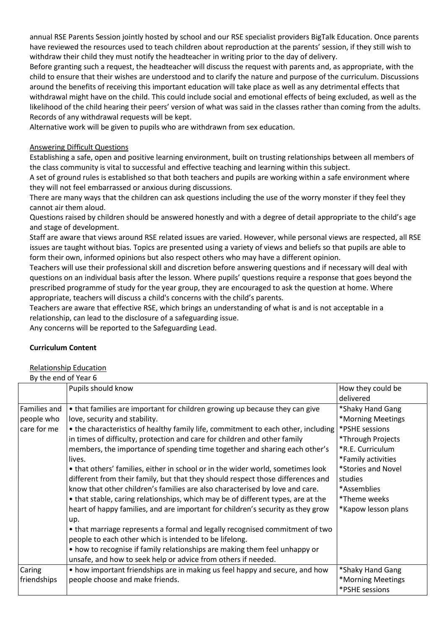annual RSE Parents Session jointly hosted by school and our RSE specialist providers BigTalk Education. Once parents have reviewed the resources used to teach children about reproduction at the parents' session, if they still wish to withdraw their child they must notify the headteacher in writing prior to the day of delivery.

Before granting such a request, the headteacher will discuss the request with parents and, as appropriate, with the child to ensure that their wishes are understood and to clarify the nature and purpose of the curriculum. Discussions around the benefits of receiving this important education will take place as well as any detrimental effects that withdrawal might have on the child. This could include social and emotional effects of being excluded, as well as the likelihood of the child hearing their peers' version of what was said in the classes rather than coming from the adults. Records of any withdrawal requests will be kept.

Alternative work will be given to pupils who are withdrawn from sex education.

### Answering Difficult Questions

Establishing a safe, open and positive learning environment, built on trusting relationships between all members of the class community is vital to successful and effective teaching and learning within this subject.

A set of ground rules is established so that both teachers and pupils are working within a safe environment where they will not feel embarrassed or anxious during discussions.

There are many ways that the children can ask questions including the use of the worry monster if they feel they cannot air them aloud.

Questions raised by children should be answered honestly and with a degree of detail appropriate to the child's age and stage of development.

Staff are aware that views around RSE related issues are varied. However, while personal views are respected, all RSE issues are taught without bias. Topics are presented using a variety of views and beliefs so that pupils are able to form their own, informed opinions but also respect others who may have a different opinion.

Teachers will use their professional skill and discretion before answering questions and if necessary will deal with questions on an individual basis after the lesson. Where pupils' questions require a response that goes beyond the prescribed programme of study for the year group, they are encouraged to ask the question at home. Where appropriate, teachers will discuss a child's concerns with the child's parents.

Teachers are aware that effective RSE, which brings an understanding of what is and is not acceptable in a relationship, can lead to the disclosure of a safeguarding issue.

Any concerns will be reported to the Safeguarding Lead.

### **Curriculum Content**

Relationship Education

| By the end of Year 6 |                                                                                        |                     |
|----------------------|----------------------------------------------------------------------------------------|---------------------|
|                      | Pupils should know                                                                     | How they could be   |
|                      |                                                                                        | delivered           |
| Families and         | • that families are important for children growing up because they can give            | *Shaky Hand Gang    |
| people who           | love, security and stability.                                                          | *Morning Meetings   |
| care for me          | • the characteristics of healthy family life, commitment to each other, including      | *PSHE sessions      |
|                      | in times of difficulty, protection and care for children and other family              | *Through Projects   |
|                      | members, the importance of spending time together and sharing each other's             | *R.E. Curriculum    |
|                      | lives.                                                                                 | *Family activities  |
|                      | • that others' families, either in school or in the wider world, sometimes look        | *Stories and Novel  |
|                      | different from their family, but that they should respect those differences and        | studies             |
|                      | know that other children's families are also characterised by love and care.           | *Assemblies         |
|                      | • that stable, caring relationships, which may be of different types, are at the       | *Theme weeks        |
|                      | heart of happy families, and are important for children's security as they grow<br>up. | *Kapow lesson plans |
|                      | • that marriage represents a formal and legally recognised commitment of two           |                     |
|                      | people to each other which is intended to be lifelong.                                 |                     |
|                      | • how to recognise if family relationships are making them feel unhappy or             |                     |
|                      | unsafe, and how to seek help or advice from others if needed.                          |                     |
| Caring               | • how important friendships are in making us feel happy and secure, and how            | *Shaky Hand Gang    |
| friendships          | people choose and make friends.                                                        | *Morning Meetings   |
|                      |                                                                                        | *PSHE sessions      |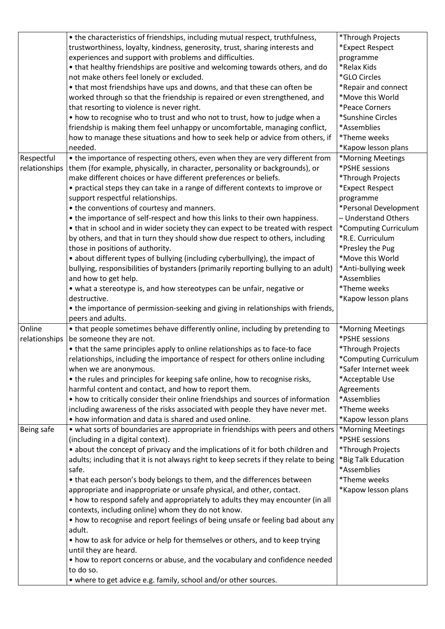|               | • the characteristics of friendships, including mutual respect, truthfulness,            | *Through Projects     |
|---------------|------------------------------------------------------------------------------------------|-----------------------|
|               | trustworthiness, loyalty, kindness, generosity, trust, sharing interests and             | *Expect Respect       |
|               | experiences and support with problems and difficulties.                                  | programme             |
|               | • that healthy friendships are positive and welcoming towards others, and do             | *Relax Kids           |
|               | not make others feel lonely or excluded.                                                 | *GLO Circles          |
|               | • that most friendships have ups and downs, and that these can often be                  | *Repair and connect   |
|               | worked through so that the friendship is repaired or even strengthened, and              | *Move this World      |
|               | that resorting to violence is never right.                                               | *Peace Corners        |
|               | • how to recognise who to trust and who not to trust, how to judge when a                | *Sunshine Circles     |
|               | friendship is making them feel unhappy or uncomfortable, managing conflict,              | *Assemblies           |
|               | how to manage these situations and how to seek help or advice from others, if            | *Theme weeks          |
|               | needed.                                                                                  | *Kapow lesson plans   |
| Respectful    | • the importance of respecting others, even when they are very different from            | *Morning Meetings     |
| relationships | them (for example, physically, in character, personality or backgrounds), or             | *PSHE sessions        |
|               | make different choices or have different preferences or beliefs.                         | *Through Projects     |
|               | • practical steps they can take in a range of different contexts to improve or           | *Expect Respect       |
|               | support respectful relationships.                                                        | programme             |
|               | • the conventions of courtesy and manners.                                               | *Personal Development |
|               | • the importance of self-respect and how this links to their own happiness.              | - Understand Others   |
|               | • that in school and in wider society they can expect to be treated with respect         | *Computing Curriculum |
|               | by others, and that in turn they should show due respect to others, including            | *R.E. Curriculum      |
|               | those in positions of authority.                                                         | *Presley the Pug      |
|               | • about different types of bullying (including cyberbullying), the impact of             | *Move this World      |
|               | bullying, responsibilities of bystanders (primarily reporting bullying to an adult)      | *Anti-bullying week   |
|               | and how to get help.                                                                     | *Assemblies           |
|               | • what a stereotype is, and how stereotypes can be unfair, negative or                   | *Theme weeks          |
|               | destructive.                                                                             | *Kapow lesson plans   |
|               | • the importance of permission-seeking and giving in relationships with friends,         |                       |
|               | peers and adults.                                                                        |                       |
| Online        | • that people sometimes behave differently online, including by pretending to            | *Morning Meetings     |
| relationships | be someone they are not.                                                                 | *PSHE sessions        |
|               | • that the same principles apply to online relationships as to face-to face              | *Through Projects     |
|               | relationships, including the importance of respect for others online including           | *Computing Curriculum |
|               | when we are anonymous.                                                                   | *Safer Internet week  |
|               | • the rules and principles for keeping safe online, how to recognise risks,              | *Acceptable Use       |
|               | harmful content and contact, and how to report them.                                     | Agreements            |
|               | • how to critically consider their online friendships and sources of information         | *Assemblies           |
|               | including awareness of the risks associated with people they have never met.             | *Theme weeks          |
|               | • how information and data is shared and used online.                                    | *Kapow lesson plans   |
| Being safe    | • what sorts of boundaries are appropriate in friendships with peers and others          | *Morning Meetings     |
|               | (including in a digital context).                                                        | *PSHE sessions        |
|               | • about the concept of privacy and the implications of it for both children and          | *Through Projects     |
|               | adults; including that it is not always right to keep secrets if they relate to being    | *Big Talk Education   |
|               | safe.                                                                                    | *Assemblies           |
|               |                                                                                          |                       |
|               |                                                                                          |                       |
|               | • that each person's body belongs to them, and the differences between                   | *Theme weeks          |
|               | appropriate and inappropriate or unsafe physical, and other, contact.                    | *Kapow lesson plans   |
|               | • how to respond safely and appropriately to adults they may encounter (in all           |                       |
|               | contexts, including online) whom they do not know.                                       |                       |
|               | • how to recognise and report feelings of being unsafe or feeling bad about any          |                       |
|               | adult.                                                                                   |                       |
|               | • how to ask for advice or help for themselves or others, and to keep trying             |                       |
|               | until they are heard.                                                                    |                       |
|               | • how to report concerns or abuse, and the vocabulary and confidence needed<br>to do so. |                       |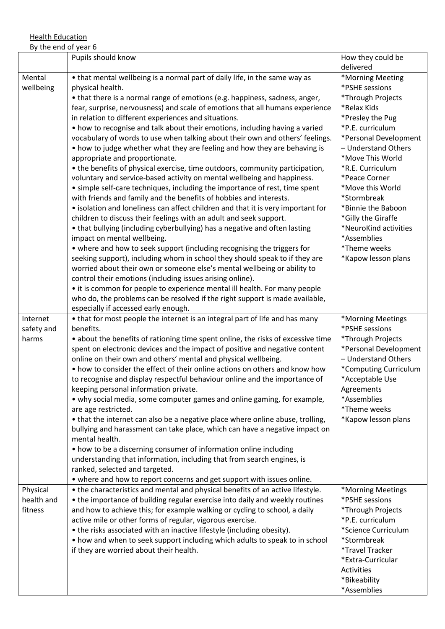**Health Education** 

| By the end of year 6              |                                                                                                                                                                                                                                                                                                                                                                                                                                                                                                                                                                                                                                                                                                                                                                                                                                                                                                                                                                                                                                                                                                                                                                                                                                                                                                                                                                                                                                                                                                                                                                                                                                                                                                       |                                                                                                                                                                                                                                                                                                                                                                                       |
|-----------------------------------|-------------------------------------------------------------------------------------------------------------------------------------------------------------------------------------------------------------------------------------------------------------------------------------------------------------------------------------------------------------------------------------------------------------------------------------------------------------------------------------------------------------------------------------------------------------------------------------------------------------------------------------------------------------------------------------------------------------------------------------------------------------------------------------------------------------------------------------------------------------------------------------------------------------------------------------------------------------------------------------------------------------------------------------------------------------------------------------------------------------------------------------------------------------------------------------------------------------------------------------------------------------------------------------------------------------------------------------------------------------------------------------------------------------------------------------------------------------------------------------------------------------------------------------------------------------------------------------------------------------------------------------------------------------------------------------------------------|---------------------------------------------------------------------------------------------------------------------------------------------------------------------------------------------------------------------------------------------------------------------------------------------------------------------------------------------------------------------------------------|
|                                   | Pupils should know                                                                                                                                                                                                                                                                                                                                                                                                                                                                                                                                                                                                                                                                                                                                                                                                                                                                                                                                                                                                                                                                                                                                                                                                                                                                                                                                                                                                                                                                                                                                                                                                                                                                                    | How they could be<br>delivered                                                                                                                                                                                                                                                                                                                                                        |
| Mental<br>wellbeing               | • that mental wellbeing is a normal part of daily life, in the same way as<br>physical health.<br>• that there is a normal range of emotions (e.g. happiness, sadness, anger,<br>fear, surprise, nervousness) and scale of emotions that all humans experience<br>in relation to different experiences and situations.<br>• how to recognise and talk about their emotions, including having a varied<br>vocabulary of words to use when talking about their own and others' feelings.<br>• how to judge whether what they are feeling and how they are behaving is<br>appropriate and proportionate.<br>• the benefits of physical exercise, time outdoors, community participation,<br>voluntary and service-based activity on mental wellbeing and happiness.<br>• simple self-care techniques, including the importance of rest, time spent<br>with friends and family and the benefits of hobbies and interests.<br>• isolation and loneliness can affect children and that it is very important for<br>children to discuss their feelings with an adult and seek support.<br>• that bullying (including cyberbullying) has a negative and often lasting<br>impact on mental wellbeing.<br>• where and how to seek support (including recognising the triggers for<br>seeking support), including whom in school they should speak to if they are<br>worried about their own or someone else's mental wellbeing or ability to<br>control their emotions (including issues arising online).<br>• it is common for people to experience mental ill health. For many people<br>who do, the problems can be resolved if the right support is made available,<br>especially if accessed early enough. | *Morning Meeting<br>*PSHE sessions<br>*Through Projects<br>*Relax Kids<br>*Presley the Pug<br>*P.E. curriculum<br>*Personal Development<br>- Understand Others<br>*Move This World<br>*R.E. Curriculum<br>*Peace Corner<br>*Move this World<br>*Stormbreak<br>*Binnie the Baboon<br>*Gilly the Giraffe<br>*NeuroKind activities<br>*Assemblies<br>*Theme weeks<br>*Kapow lesson plans |
| Internet<br>safety and<br>harms   | • that for most people the internet is an integral part of life and has many<br>benefits.<br>• about the benefits of rationing time spent online, the risks of excessive time<br>spent on electronic devices and the impact of positive and negative content<br>online on their own and others' mental and physical wellbeing.<br>• how to consider the effect of their online actions on others and know how<br>to recognise and display respectful behaviour online and the importance of<br>keeping personal information private.<br>• why social media, some computer games and online gaming, for example,<br>are age restricted.<br>• that the internet can also be a negative place where online abuse, trolling,<br>bullying and harassment can take place, which can have a negative impact on<br>mental health.<br>• how to be a discerning consumer of information online including<br>understanding that information, including that from search engines, is<br>ranked, selected and targeted.<br>• where and how to report concerns and get support with issues online.                                                                                                                                                                                                                                                                                                                                                                                                                                                                                                                                                                                                                  | *Morning Meetings<br>*PSHE sessions<br>*Through Projects<br>*Personal Development<br>- Understand Others<br>*Computing Curriculum<br>*Acceptable Use<br>Agreements<br>*Assemblies<br>*Theme weeks<br>*Kapow lesson plans                                                                                                                                                              |
| Physical<br>health and<br>fitness | • the characteristics and mental and physical benefits of an active lifestyle.<br>• the importance of building regular exercise into daily and weekly routines<br>and how to achieve this; for example walking or cycling to school, a daily<br>active mile or other forms of regular, vigorous exercise.<br>• the risks associated with an inactive lifestyle (including obesity).<br>• how and when to seek support including which adults to speak to in school<br>if they are worried about their health.                                                                                                                                                                                                                                                                                                                                                                                                                                                                                                                                                                                                                                                                                                                                                                                                                                                                                                                                                                                                                                                                                                                                                                                         | *Morning Meetings<br>*PSHE sessions<br>*Through Projects<br>*P.E. curriculum<br>*Science Curriculum<br>*Stormbreak<br>*Travel Tracker<br>*Extra-Curricular<br>Activities<br>*Bikeability<br>*Assemblies                                                                                                                                                                               |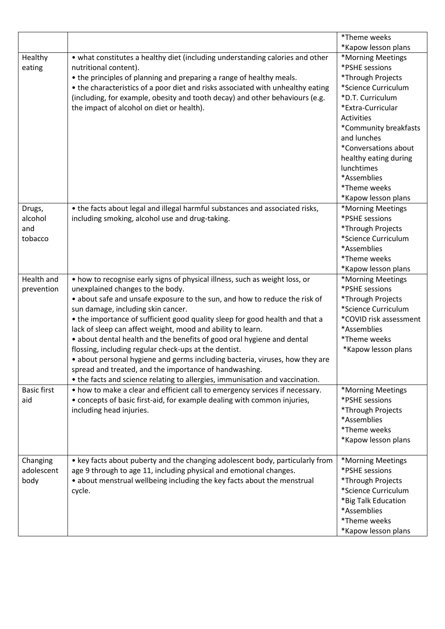|                                     |                                                                                                                                                                                                                                                                                                                                                                                                                                                                                                                                                                                                                                                                                                                                                 | *Theme weeks                                                                                                                                                                                                                                                                                        |
|-------------------------------------|-------------------------------------------------------------------------------------------------------------------------------------------------------------------------------------------------------------------------------------------------------------------------------------------------------------------------------------------------------------------------------------------------------------------------------------------------------------------------------------------------------------------------------------------------------------------------------------------------------------------------------------------------------------------------------------------------------------------------------------------------|-----------------------------------------------------------------------------------------------------------------------------------------------------------------------------------------------------------------------------------------------------------------------------------------------------|
|                                     |                                                                                                                                                                                                                                                                                                                                                                                                                                                                                                                                                                                                                                                                                                                                                 | *Kapow lesson plans                                                                                                                                                                                                                                                                                 |
| Healthy<br>eating                   | • what constitutes a healthy diet (including understanding calories and other<br>nutritional content).<br>• the principles of planning and preparing a range of healthy meals.<br>• the characteristics of a poor diet and risks associated with unhealthy eating<br>(including, for example, obesity and tooth decay) and other behaviours (e.g.<br>the impact of alcohol on diet or health).                                                                                                                                                                                                                                                                                                                                                  | *Morning Meetings<br>*PSHE sessions<br>*Through Projects<br>*Science Curriculum<br>*D.T. Curriculum<br>*Extra-Curricular<br>Activities<br>*Community breakfasts<br>and lunches<br>*Conversations about<br>healthy eating during<br>lunchtimes<br>*Assemblies<br>*Theme weeks<br>*Kapow lesson plans |
| Drugs,<br>alcohol<br>and<br>tobacco | • the facts about legal and illegal harmful substances and associated risks,<br>including smoking, alcohol use and drug-taking.                                                                                                                                                                                                                                                                                                                                                                                                                                                                                                                                                                                                                 | *Morning Meetings<br>*PSHE sessions<br>*Through Projects<br>*Science Curriculum<br>*Assemblies<br>*Theme weeks<br>*Kapow lesson plans                                                                                                                                                               |
| Health and<br>prevention            | • how to recognise early signs of physical illness, such as weight loss, or<br>unexplained changes to the body.<br>• about safe and unsafe exposure to the sun, and how to reduce the risk of<br>sun damage, including skin cancer.<br>• the importance of sufficient good quality sleep for good health and that a<br>lack of sleep can affect weight, mood and ability to learn.<br>• about dental health and the benefits of good oral hygiene and dental<br>flossing, including regular check-ups at the dentist.<br>· about personal hygiene and germs including bacteria, viruses, how they are<br>spread and treated, and the importance of handwashing.<br>• the facts and science relating to allergies, immunisation and vaccination. | *Morning Meetings<br>*PSHE sessions<br>*Through Projects<br>*Science Curriculum<br>*COVID risk assessment<br>*Assemblies<br>*Theme weeks<br>*Kapow lesson plans                                                                                                                                     |
| <b>Basic first</b><br>aid           | • how to make a clear and efficient call to emergency services if necessary.<br>• concepts of basic first-aid, for example dealing with common injuries,<br>including head injuries.                                                                                                                                                                                                                                                                                                                                                                                                                                                                                                                                                            | *Morning Meetings<br>*PSHE sessions<br>*Through Projects<br>*Assemblies<br>*Theme weeks<br>*Kapow lesson plans                                                                                                                                                                                      |
| Changing<br>adolescent<br>body      | • key facts about puberty and the changing adolescent body, particularly from<br>age 9 through to age 11, including physical and emotional changes.<br>• about menstrual wellbeing including the key facts about the menstrual<br>cycle.                                                                                                                                                                                                                                                                                                                                                                                                                                                                                                        | *Morning Meetings<br>*PSHE sessions<br>*Through Projects<br>*Science Curriculum<br>*Big Talk Education<br>*Assemblies<br>*Theme weeks<br>*Kapow lesson plans                                                                                                                                        |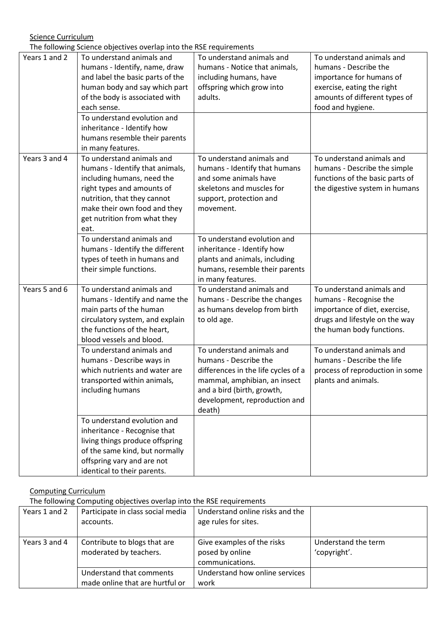Science Curriculum

The following Science objectives overlap into the RSE requirements

|               | The Tonowing Science objectives overlap into the NSE requirements                                                                                                                                                               |                                                                                                                                                                                                    |                                                                                                                                                                    |
|---------------|---------------------------------------------------------------------------------------------------------------------------------------------------------------------------------------------------------------------------------|----------------------------------------------------------------------------------------------------------------------------------------------------------------------------------------------------|--------------------------------------------------------------------------------------------------------------------------------------------------------------------|
| Years 1 and 2 | To understand animals and<br>humans - Identify, name, draw<br>and label the basic parts of the<br>human body and say which part<br>of the body is associated with<br>each sense.                                                | To understand animals and<br>humans - Notice that animals,<br>including humans, have<br>offspring which grow into<br>adults.                                                                       | To understand animals and<br>humans - Describe the<br>importance for humans of<br>exercise, eating the right<br>amounts of different types of<br>food and hygiene. |
|               | To understand evolution and<br>inheritance - Identify how<br>humans resemble their parents<br>in many features.                                                                                                                 |                                                                                                                                                                                                    |                                                                                                                                                                    |
| Years 3 and 4 | To understand animals and<br>humans - Identify that animals,<br>including humans, need the<br>right types and amounts of<br>nutrition, that they cannot<br>make their own food and they<br>get nutrition from what they<br>eat. | To understand animals and<br>humans - Identify that humans<br>and some animals have<br>skeletons and muscles for<br>support, protection and<br>movement.                                           | To understand animals and<br>humans - Describe the simple<br>functions of the basic parts of<br>the digestive system in humans                                     |
|               | To understand animals and<br>humans - Identify the different<br>types of teeth in humans and<br>their simple functions.                                                                                                         | To understand evolution and<br>inheritance - Identify how<br>plants and animals, including<br>humans, resemble their parents<br>in many features.                                                  |                                                                                                                                                                    |
| Years 5 and 6 | To understand animals and<br>humans - Identify and name the<br>main parts of the human<br>circulatory system, and explain<br>the functions of the heart,<br>blood vessels and blood.                                            | To understand animals and<br>humans - Describe the changes<br>as humans develop from birth<br>to old age.                                                                                          | To understand animals and<br>humans - Recognise the<br>importance of diet, exercise,<br>drugs and lifestyle on the way<br>the human body functions.                |
|               | To understand animals and<br>humans - Describe ways in<br>which nutrients and water are<br>transported within animals,<br>including humans                                                                                      | To understand animals and<br>humans - Describe the<br>differences in the life cycles of a<br>mammal, amphibian, an insect<br>and a bird (birth, growth,<br>development, reproduction and<br>death) | To understand animals and<br>humans - Describe the life<br>process of reproduction in some<br>plants and animals.                                                  |
|               | To understand evolution and<br>inheritance - Recognise that<br>living things produce offspring<br>of the same kind, but normally<br>offspring vary and are not<br>identical to their parents.                                   |                                                                                                                                                                                                    |                                                                                                                                                                    |

### Computing Curriculum

The following Computing objectives overlap into the RSE requirements

| Years 1 and 2 | Participate in class social media<br>accounts.              | Understand online risks and the<br>age rules for sites.          |                                     |
|---------------|-------------------------------------------------------------|------------------------------------------------------------------|-------------------------------------|
| Years 3 and 4 | Contribute to blogs that are<br>moderated by teachers.      | Give examples of the risks<br>posed by online<br>communications. | Understand the term<br>'copyright'. |
|               | Understand that comments<br>made online that are hurtful or | Understand how online services<br>work                           |                                     |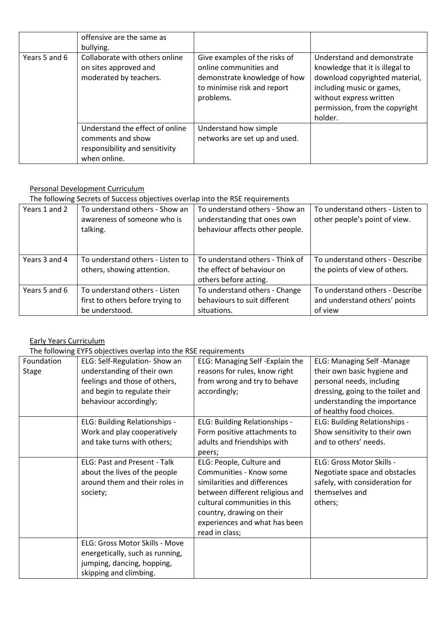|               | offensive are the same as<br>bullying.                                                                 |                                                                                                                                     |                                                                                                                                                                                                      |
|---------------|--------------------------------------------------------------------------------------------------------|-------------------------------------------------------------------------------------------------------------------------------------|------------------------------------------------------------------------------------------------------------------------------------------------------------------------------------------------------|
| Years 5 and 6 | Collaborate with others online<br>on sites approved and<br>moderated by teachers.                      | Give examples of the risks of<br>online communities and<br>demonstrate knowledge of how<br>to minimise risk and report<br>problems. | Understand and demonstrate<br>knowledge that it is illegal to<br>download copyrighted material,<br>including music or games,<br>without express written<br>permission, from the copyright<br>holder. |
|               | Understand the effect of online<br>comments and show<br>responsibility and sensitivity<br>when online. | Understand how simple<br>networks are set up and used.                                                                              |                                                                                                                                                                                                      |

# Personal Development Curriculum

The following Secrets of Success objectives overlap into the RSE requirements

| THE TURNING SECRETS OF SUCCESS ODJECTIVES OVERTAD THEO THE INSERTIONMENTED |                                                                                     |                                                                                                  |                                                                             |
|----------------------------------------------------------------------------|-------------------------------------------------------------------------------------|--------------------------------------------------------------------------------------------------|-----------------------------------------------------------------------------|
| Years 1 and 2                                                              | To understand others - Show an<br>awareness of someone who is<br>talking.           | To understand others - Show an<br>understanding that ones own<br>behaviour affects other people. | To understand others - Listen to<br>other people's point of view.           |
| Years 3 and 4                                                              | To understand others - Listen to<br>others, showing attention.                      | To understand others - Think of<br>the effect of behaviour on<br>others before acting.           | To understand others - Describe<br>the points of view of others.            |
| Years 5 and 6                                                              | To understand others - Listen<br>first to others before trying to<br>be understood. | To understand others - Change<br>behaviours to suit different<br>situations.                     | To understand others - Describe<br>and understand others' points<br>of view |

# Early Years Curriculum

The following EYFS objectives overlap into the RSE requirements

| Foundation<br><b>Stage</b> | ELG: Self-Regulation- Show an<br>understanding of their own<br>feelings and those of others,<br>and begin to regulate their<br>behaviour accordingly; | ELG: Managing Self - Explain the<br>reasons for rules, know right<br>from wrong and try to behave<br>accordingly;                                                                                                                      | <b>ELG: Managing Self-Manage</b><br>their own basic hygiene and<br>personal needs, including<br>dressing, going to the toilet and<br>understanding the importance<br>of healthy food choices. |
|----------------------------|-------------------------------------------------------------------------------------------------------------------------------------------------------|----------------------------------------------------------------------------------------------------------------------------------------------------------------------------------------------------------------------------------------|-----------------------------------------------------------------------------------------------------------------------------------------------------------------------------------------------|
|                            | ELG: Building Relationships -<br>Work and play cooperatively<br>and take turns with others;                                                           | ELG: Building Relationships -<br>Form positive attachments to<br>adults and friendships with<br>peers;                                                                                                                                 | ELG: Building Relationships -<br>Show sensitivity to their own<br>and to others' needs.                                                                                                       |
|                            | ELG: Past and Present - Talk<br>about the lives of the people<br>around them and their roles in<br>society;                                           | ELG: People, Culture and<br>Communities - Know some<br>similarities and differences<br>between different religious and<br>cultural communities in this<br>country, drawing on their<br>experiences and what has been<br>read in class; | ELG: Gross Motor Skills -<br>Negotiate space and obstacles<br>safely, with consideration for<br>themselves and<br>others;                                                                     |
|                            | ELG: Gross Motor Skills - Move<br>energetically, such as running,<br>jumping, dancing, hopping,<br>skipping and climbing.                             |                                                                                                                                                                                                                                        |                                                                                                                                                                                               |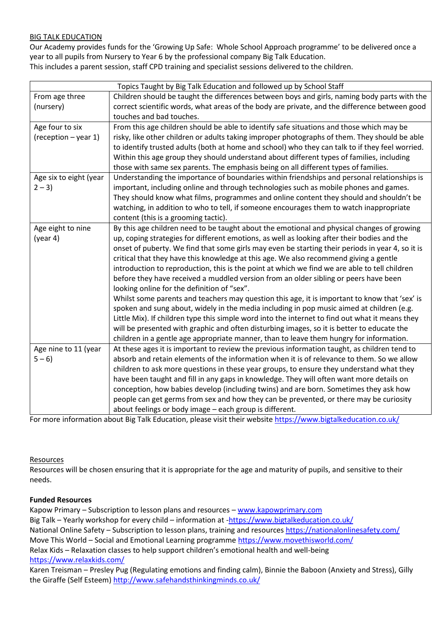### BIG TALK EDUCATION

Our Academy provides funds for the 'Growing Up Safe: Whole School Approach programme' to be delivered once a year to all pupils from Nursery to Year 6 by the professional company Big Talk Education. This includes a parent session, staff CPD training and specialist sessions delivered to the children.

|                        | Topics Taught by Big Talk Education and followed up by School Staff                                                                 |
|------------------------|-------------------------------------------------------------------------------------------------------------------------------------|
| From age three         | Children should be taught the differences between boys and girls, naming body parts with the                                        |
| (nursery)              | correct scientific words, what areas of the body are private, and the difference between good                                       |
|                        | touches and bad touches.                                                                                                            |
| Age four to six        | From this age children should be able to identify safe situations and those which may be                                            |
| (reception - year 1)   | risky, like other children or adults taking improper photographs of them. They should be able                                       |
|                        | to identify trusted adults (both at home and school) who they can talk to if they feel worried.                                     |
|                        | Within this age group they should understand about different types of families, including                                           |
|                        | those with same sex parents. The emphasis being on all different types of families.                                                 |
| Age six to eight (year | Understanding the importance of boundaries within friendships and personal relationships is                                         |
| $2 - 3$                | important, including online and through technologies such as mobile phones and games.                                               |
|                        | They should know what films, programmes and online content they should and shouldn't be                                             |
|                        | watching, in addition to who to tell, if someone encourages them to watch inappropriate                                             |
|                        | content (this is a grooming tactic).                                                                                                |
| Age eight to nine      | By this age children need to be taught about the emotional and physical changes of growing                                          |
| (year 4)               | up, coping strategies for different emotions, as well as looking after their bodies and the                                         |
|                        | onset of puberty. We find that some girls may even be starting their periods in year 4, so it is                                    |
|                        | critical that they have this knowledge at this age. We also recommend giving a gentle                                               |
|                        | introduction to reproduction, this is the point at which we find we are able to tell children                                       |
|                        | before they have received a muddled version from an older sibling or peers have been<br>looking online for the definition of "sex". |
|                        | Whilst some parents and teachers may question this age, it is important to know that 'sex' is                                       |
|                        | spoken and sung about, widely in the media including in pop music aimed at children (e.g.                                           |
|                        | Little Mix). If children type this simple word into the internet to find out what it means they                                     |
|                        | will be presented with graphic and often disturbing images, so it is better to educate the                                          |
|                        | children in a gentle age appropriate manner, than to leave them hungry for information.                                             |
| Age nine to 11 (year   | At these ages it is important to review the previous information taught, as children tend to                                        |
| $5 - 6$                | absorb and retain elements of the information when it is of relevance to them. So we allow                                          |
|                        | children to ask more questions in these year groups, to ensure they understand what they                                            |
|                        | have been taught and fill in any gaps in knowledge. They will often want more details on                                            |
|                        | conception, how babies develop (including twins) and are born. Sometimes they ask how                                               |
|                        | people can get germs from sex and how they can be prevented, or there may be curiosity                                              |
|                        | about feelings or body image - each group is different.                                                                             |
|                        |                                                                                                                                     |

For more information about Big Talk Education, please visit their websit[e https://www.bigtalkeducation.co.uk/](https://www.bigtalkeducation.co.uk/)

#### **Resources**

Resources will be chosen ensuring that it is appropriate for the age and maturity of pupils, and sensitive to their needs.

#### **Funded Resources**

Kapow Primary – Subscription to lesson plans and resources – [www.kapowprimary.com](http://www.kapowprimary.com/) Big Talk – Yearly workshop for every child – information at [-https://www.bigtalkeducation.co.uk/](https://www.bigtalkeducation.co.uk/) National Online Safety – Subscription to lesson plans, training and resources <https://nationalonlinesafety.com/> Move This World – Social and Emotional Learning programme<https://www.movethisworld.com/> Relax Kids – Relaxation classes to help support children's emotional health and well-being <https://www.relaxkids.com/>

Karen Treisman – Presley Pug (Regulating emotions and finding calm), Binnie the Baboon (Anxiety and Stress), Gilly the Giraffe (Self Esteem) <http://www.safehandsthinkingminds.co.uk/>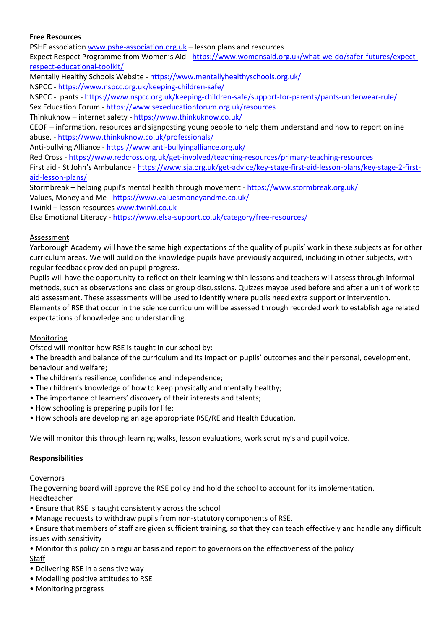### **Free Resources**

PSHE associatio[n www.pshe-association.org.uk](http://www.pshe-association.org.uk/) – lesson plans and resources

Expect Respect Programme from Women's Aid - [https://www.womensaid.org.uk/what-we-do/safer-futures/expect](https://www.womensaid.org.uk/what-we-do/safer-futures/expect-respect-educational-toolkit/)[respect-educational-toolkit/](https://www.womensaid.org.uk/what-we-do/safer-futures/expect-respect-educational-toolkit/)

Mentally Healthy Schools Website - <https://www.mentallyhealthyschools.org.uk/>

NSPCC - <https://www.nspcc.org.uk/keeping-children-safe/>

NSPCC - pants - <https://www.nspcc.org.uk/keeping-children-safe/support-for-parents/pants-underwear-rule/> Sex Education Forum - <https://www.sexeducationforum.org.uk/resources>

Thinkuknow – internet safety - <https://www.thinkuknow.co.uk/>

CEOP – information, resources and signposting young people to help them understand and how to report online abuse. - <https://www.thinkuknow.co.uk/professionals/>

Anti-bullying Alliance - <https://www.anti-bullyingalliance.org.uk/>

Red Cross - <https://www.redcross.org.uk/get-involved/teaching-resources/primary-teaching-resources>

First aid - St John's Ambulance - [https://www.sja.org.uk/get-advice/key-stage-first-aid-lesson-plans/key-stage-2-first](https://www.sja.org.uk/get-advice/key-stage-first-aid-lesson-plans/key-stage-2-first-aid-lesson-plans/)[aid-lesson-plans/](https://www.sja.org.uk/get-advice/key-stage-first-aid-lesson-plans/key-stage-2-first-aid-lesson-plans/)

Stormbreak – helping pupil's mental health through movement - <https://www.stormbreak.org.uk/>

Values, Money and Me - <https://www.valuesmoneyandme.co.uk/>

Twinkl – lesson resources [www.twinkl.co.uk](http://www.twinkl.co.uk/)

Elsa Emotional Literacy - <https://www.elsa-support.co.uk/category/free-resources/>

#### Assessment

Yarborough Academy will have the same high expectations of the quality of pupils' work in these subjects as for other curriculum areas. We will build on the knowledge pupils have previously acquired, including in other subjects, with regular feedback provided on pupil progress.

Pupils will have the opportunity to reflect on their learning within lessons and teachers will assess through informal methods, such as observations and class or group discussions. Quizzes maybe used before and after a unit of work to aid assessment. These assessments will be used to identify where pupils need extra support or intervention.

Elements of RSE that occur in the science curriculum will be assessed through recorded work to establish age related expectations of knowledge and understanding.

### Monitoring

Ofsted will monitor how RSE is taught in our school by:

• The breadth and balance of the curriculum and its impact on pupils' outcomes and their personal, development, behaviour and welfare;

- The children's resilience, confidence and independence;
- The children's knowledge of how to keep physically and mentally healthy;
- The importance of learners' discovery of their interests and talents;
- How schooling is preparing pupils for life;
- How schools are developing an age appropriate RSE/RE and Health Education.

We will monitor this through learning walks, lesson evaluations, work scrutiny's and pupil voice.

#### **Responsibilities**

Governors

The governing board will approve the RSE policy and hold the school to account for its implementation. Headteacher

- Ensure that RSE is taught consistently across the school
- Manage requests to withdraw pupils from non-statutory components of RSE.
- Ensure that members of staff are given sufficient training, so that they can teach effectively and handle any difficult issues with sensitivity

• Monitor this policy on a regular basis and report to governors on the effectiveness of the policy Staff

- Delivering RSE in a sensitive way
- Modelling positive attitudes to RSE
- Monitoring progress